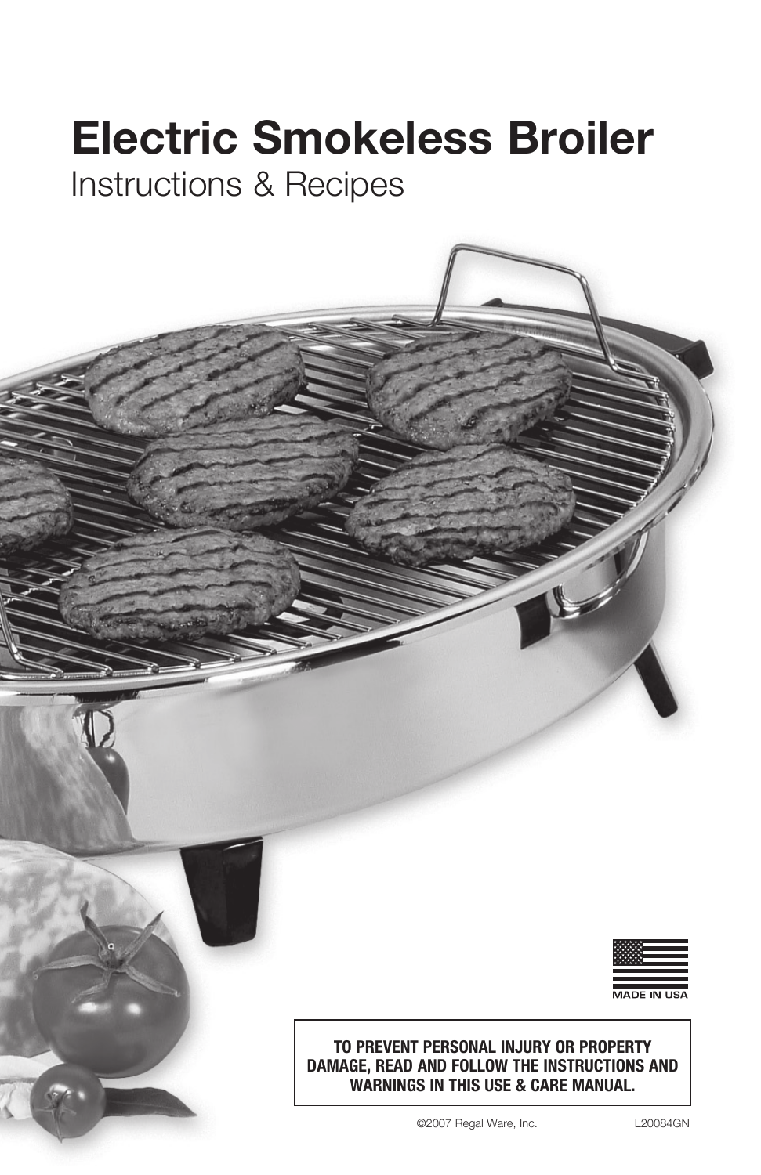# **Electric Smokeless Broiler**

Instructions & Recipes



**TO PREVENT PERSONAL INJURY OR PROPERTY DAMAGE, READ AND FOLLOW THE INSTRUCTIONS AND WARNINGS IN THIS USE & CARE MANUAL.**

©2007 Regal Ware, Inc. L20084GN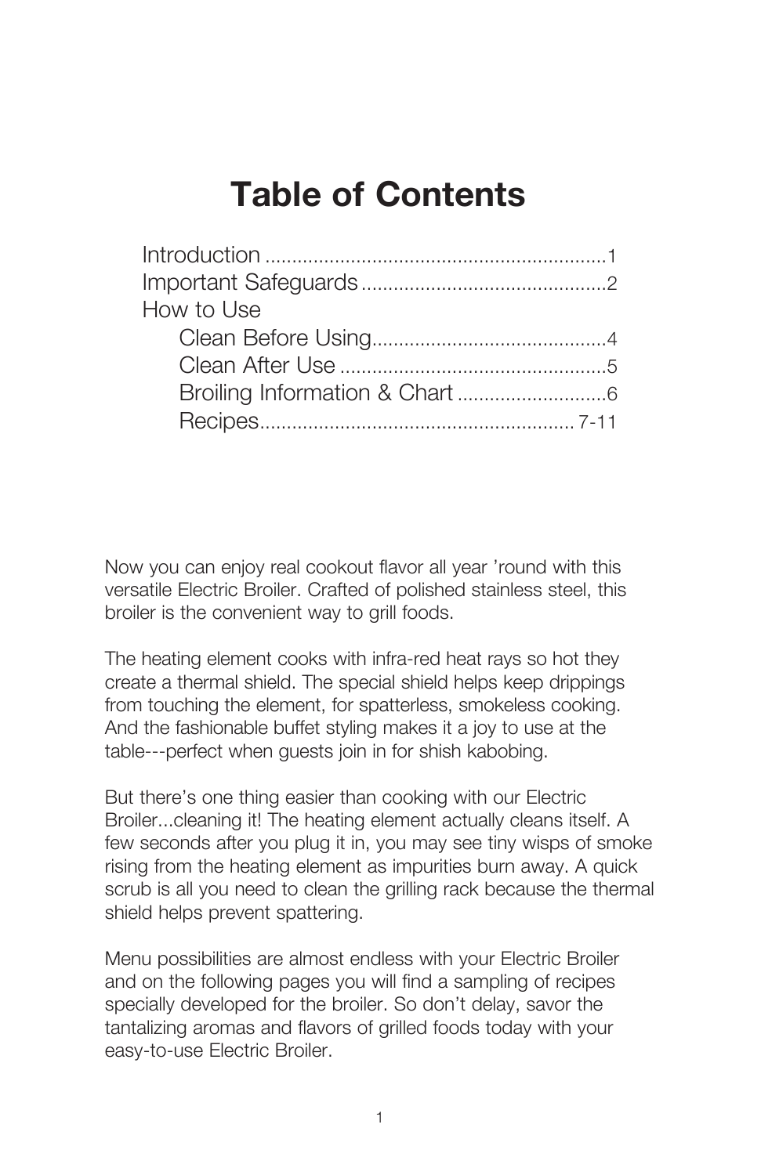## **Table of Contents**

Now you can enjoy real cookout flavor all year 'round with this versatile Electric Broiler. Crafted of polished stainless steel, this broiler is the convenient way to grill foods.

The heating element cooks with infra-red heat rays so hot they create a thermal shield. The special shield helps keep drippings from touching the element, for spatterless, smokeless cooking. And the fashionable buffet styling makes it a joy to use at the table---perfect when guests join in for shish kabobing.

But there's one thing easier than cooking with our Electric Broiler...cleaning it! The heating element actually cleans itself. A few seconds after you plug it in, you may see tiny wisps of smoke rising from the heating element as impurities burn away. A quick scrub is all you need to clean the grilling rack because the thermal shield helps prevent spattering.

Menu possibilities are almost endless with your Electric Broiler and on the following pages you will find a sampling of recipes specially developed for the broiler. So don't delay, savor the tantalizing aromas and flavors of grilled foods today with your easy-to-use Electric Broiler.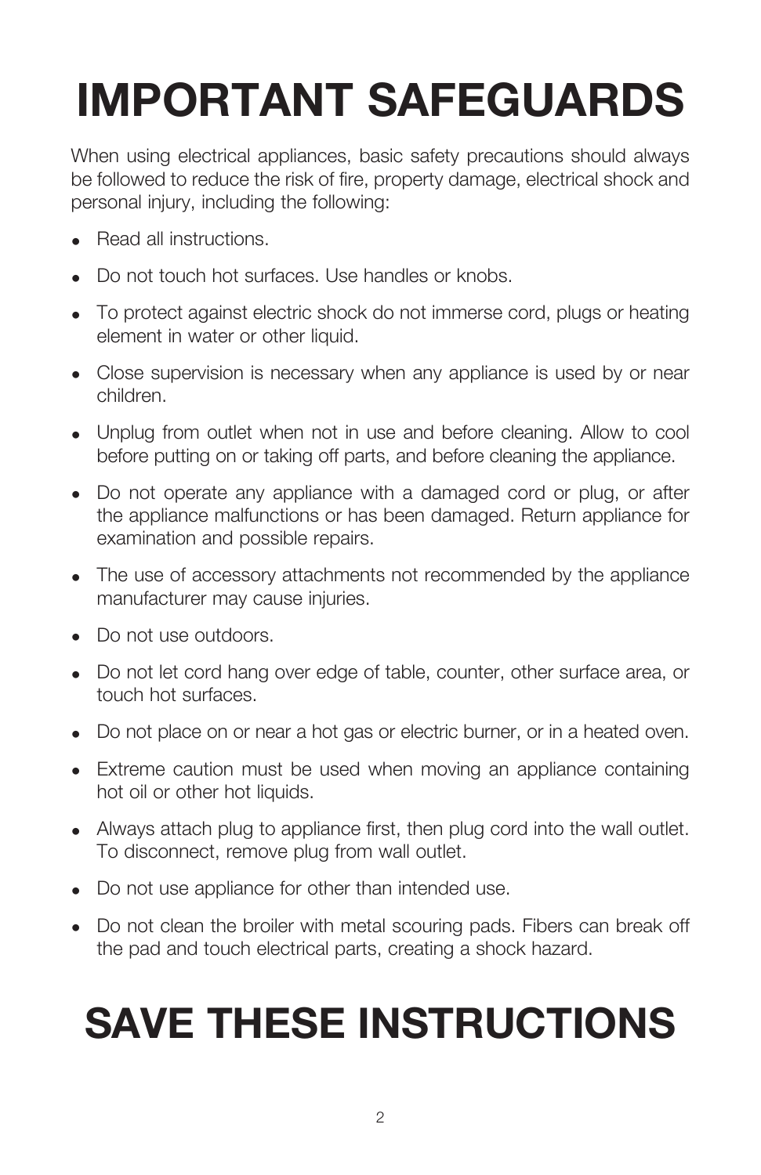# **IMPORTANT SAFEGUARDS**

When using electrical appliances, basic safety precautions should always be followed to reduce the risk of fire, property damage, electrical shock and personal injury, including the following:

- Read all instructions.
- Do not touch hot surfaces. Use handles or knobs.
- To protect against electric shock do not immerse cord, plugs or heating element in water or other liquid.
- Close supervision is necessary when any appliance is used by or near children.
- Unplug from outlet when not in use and before cleaning. Allow to cool before putting on or taking off parts, and before cleaning the appliance.
- Do not operate any appliance with a damaged cord or plug, or after the appliance malfunctions or has been damaged. Return appliance for examination and possible repairs.
- The use of accessory attachments not recommended by the appliance manufacturer may cause injuries.
- Do not use outdoors.
- Do not let cord hang over edge of table, counter, other surface area, or touch hot surfaces.
- Do not place on or near a hot gas or electric burner, or in a heated oven.
- Extreme caution must be used when moving an appliance containing hot oil or other hot liquids.
- Always attach plug to appliance first, then plug cord into the wall outlet. To disconnect, remove plug from wall outlet.
- Do not use appliance for other than intended use.
- Do not clean the broiler with metal scouring pads. Fibers can break off the pad and touch electrical parts, creating a shock hazard.

# **SAVE THESE INSTRUCTIONS**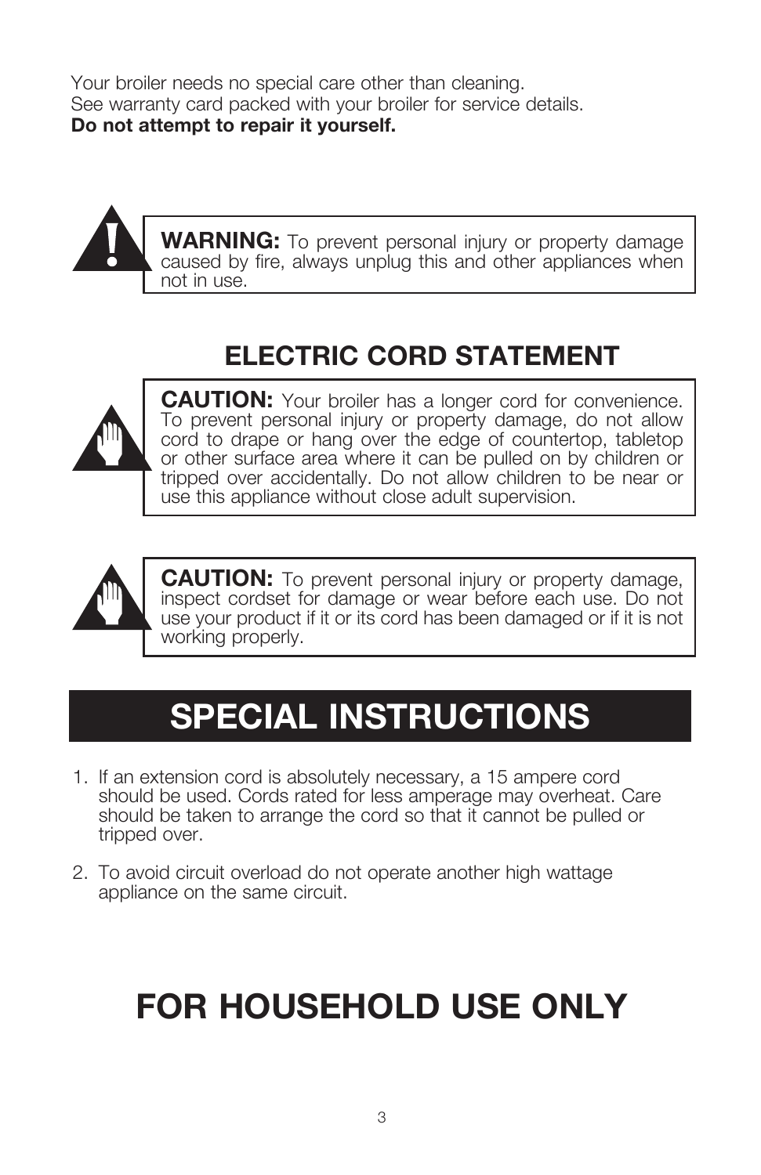Your broiler needs no special care other than cleaning. See warranty card packed with your broiler for service details. **Do not attempt to repair it yourself.**



## **ELECTRIC CORD STATEMENT**



**CAUTION:** Your broiler has a longer cord for convenience. To prevent personal injury or property damage, do not allow cord to drape or hang over the edge of countertop, tabletop or other surface area where it can be pulled on by children or tripped over accidentally. Do not allow children to be near or use this appliance without close adult supervision.



**CAUTION:** To prevent personal injury or property damage, inspect cordset for damage or wear before each use. Do not use your product if it or its cord has been damaged or if it is not working properly.

## **SPECIAL INSTRUCTIONS**

- 1. If an extension cord is absolutely necessary, a 15 ampere cord should be used. Cords rated for less amperage may overheat. Care should be taken to arrange the cord so that it cannot be pulled or tripped over.
- 2. To avoid circuit overload do not operate another high wattage appliance on the same circuit.

## **for household use only**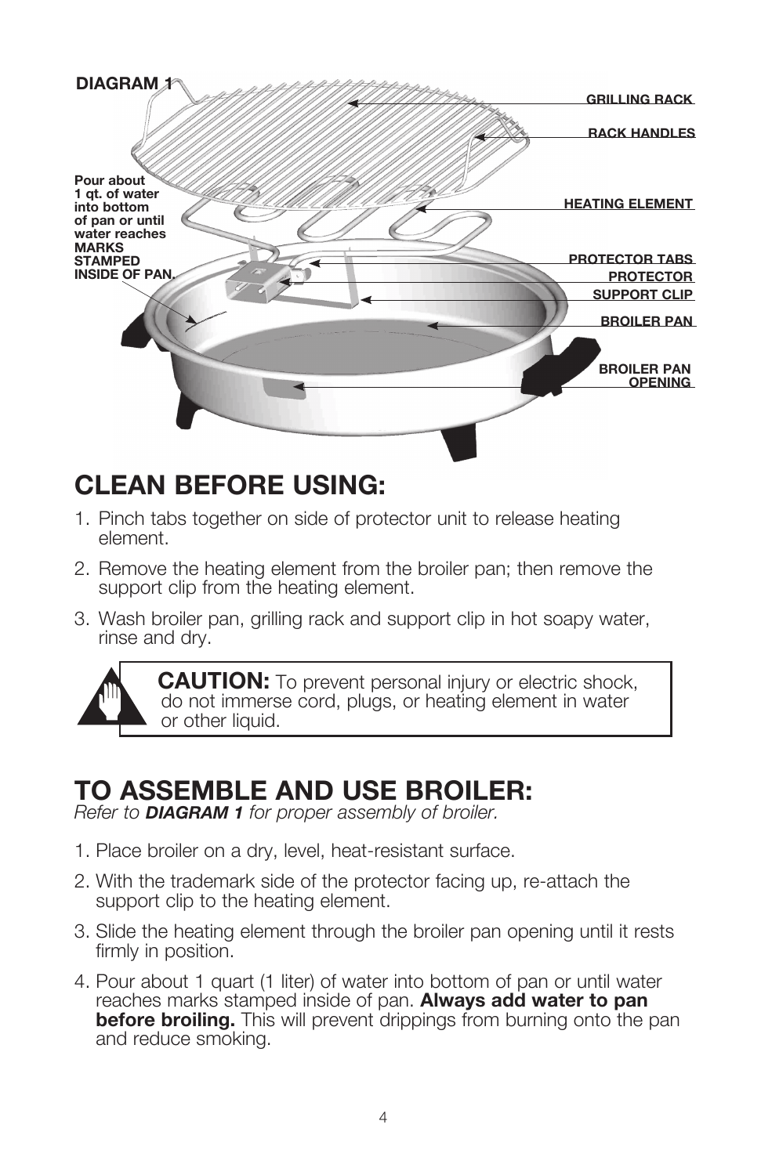

### **CLEAN BEFORE USING:**

- 1. Pinch tabs together on side of protector unit to release heating element.
- 2. Remove the heating element from the broiler pan; then remove the support clip from the heating element.
- 3. Wash broiler pan, grilling rack and support clip in hot soapy water, rinse and dry.



**CAUTION:** To prevent personal injury or electric shock, do not immerse cord, plugs, or heating element in water or other liquid.

## **To Assemble and Use Broiler:**

*Refer to DIAGRAM 1 for proper assembly of broiler.*

- 1. Place broiler on a dry, level, heat-resistant surface.
- 2. With the trademark side of the protector facing up, re-attach the support clip to the heating element.
- 3. Slide the heating element through the broiler pan opening until it rests firmly in position.
- 4. Pour about 1 quart (1 liter) of water into bottom of pan or until water reaches marks stamped inside of pan. **Always add water to pan before broiling.** This will prevent drippings from burning onto the pan and reduce smoking.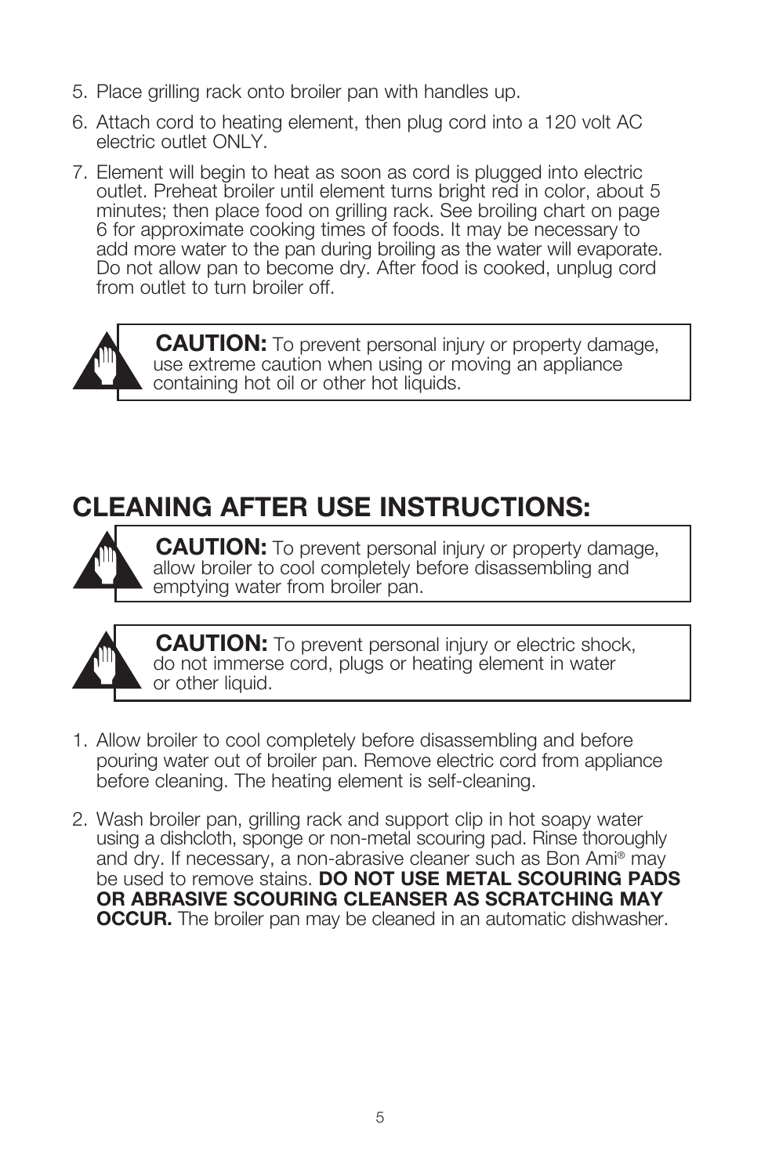- 5. Place grilling rack onto broiler pan with handles up.
- 6. Attach cord to heating element, then plug cord into a 120 volt AC electric outlet ONLY.
- 7. Element will begin to heat as soon as cord is plugged into electric outlet. Preheat broiler until element turns bright red in color, about 5 minutes; then place food on grilling rack. See broiling chart on page 6 for approximate cooking times of foods. It may be necessary to add more water to the pan during broiling as the water will evaporate. Do not allow pan to become dry. After food is cooked, unplug cord from outlet to turn broiler off.



**CAUTION:** To prevent personal injury or property damage, use extreme caution when using or moving an appliance containing hot oil or other hot liquids.

## **CLEANING AFTER USE INSTRUCTIONS:**



 **CAUTION:** To prevent personal injury or property damage, allow broiler to cool completely before disassembling and emptying water from broiler pan.



**CAUTION:** To prevent personal injury or electric shock, do not immerse cord, plugs or heating element in water or other liquid.

- 1. Allow broiler to cool completely before disassembling and before pouring water out of broiler pan. Remove electric cord from appliance before cleaning. The heating element is self-cleaning.
- 2. Wash broiler pan, grilling rack and support clip in hot soapy water using a dishcloth, sponge or non-metal scouring pad. Rinse thoroughly and dry. If necessary, a non-abrasive cleaner such as Bon Ami® may be used to remove stains. **DO NOT USE METAL SCOURING PADS OR ABRASIVE SCOURING CLEANSER AS SCRATCHING MAY OCCUR.** The broiler pan may be cleaned in an automatic dishwasher.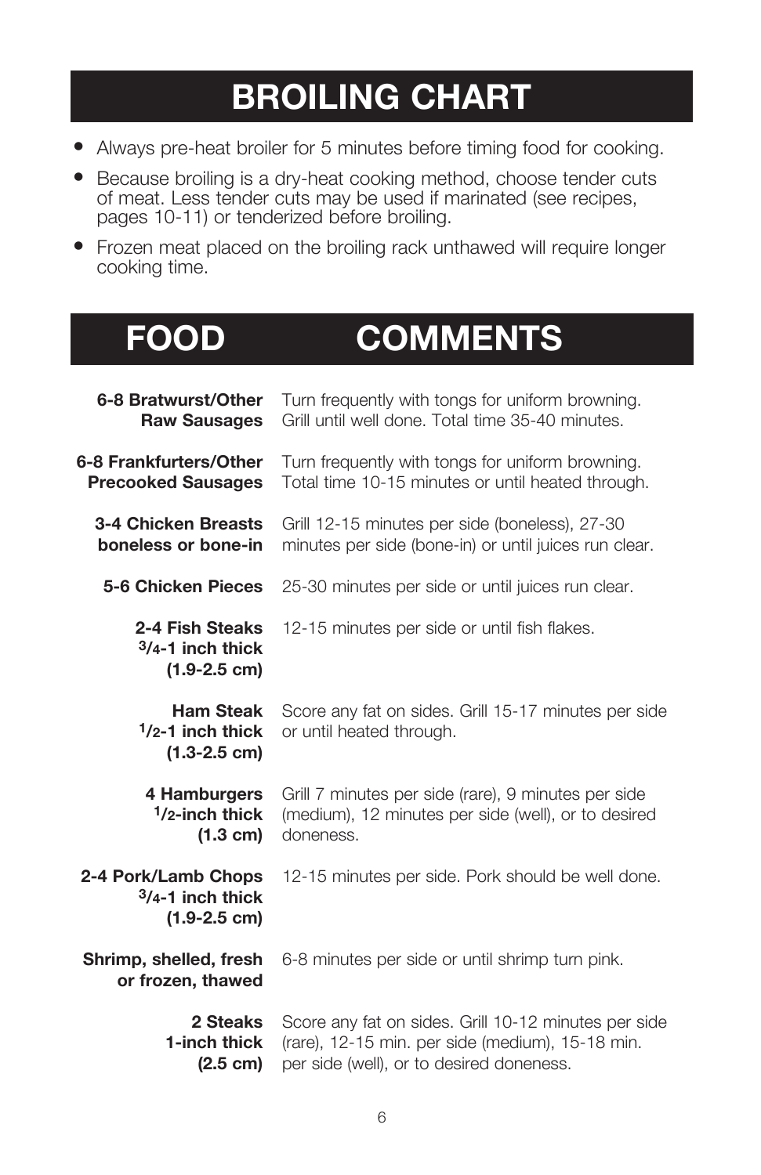## **BROILING CHART**

- Always pre-heat broiler for 5 minutes before timing food for cooking.
- Because broiling is a dry-heat cooking method, choose tender cuts of meat. Less tender cuts may be used if marinated (see recipes, pages 10-11) or tenderized before broiling.
- Frozen meat placed on the broiling rack unthawed will require longer cooking time.

## **FOOD COMMENTS**

| 6-8 Bratwurst/Other                                             | Turn frequently with tongs for uniform browning.                                 |
|-----------------------------------------------------------------|----------------------------------------------------------------------------------|
| <b>Raw Sausages</b>                                             | Grill until well done. Total time 35-40 minutes.                                 |
| 6-8 Frankfurters/Other                                          | Turn frequently with tongs for uniform browning.                                 |
| <b>Precooked Sausages</b>                                       | Total time 10-15 minutes or until heated through.                                |
| 3-4 Chicken Breasts                                             | Grill 12-15 minutes per side (boneless), 27-30                                   |
| boneless or bone-in                                             | minutes per side (bone-in) or until juices run clear.                            |
| <b>5-6 Chicken Pieces</b>                                       | 25-30 minutes per side or until juices run clear.                                |
| 2-4 Fish Steaks<br>$3/4 - 1$ inch thick<br>$(1.9 - 2.5$ cm)     | 12-15 minutes per side or until fish flakes.                                     |
| <b>Ham Steak</b><br>$1/2 - 1$ inch thick<br>$(1.3 - 2.5$ cm)    | Score any fat on sides. Grill 15-17 minutes per side<br>or until heated through. |
| 4 Hamburgers                                                    | Grill 7 minutes per side (rare), 9 minutes per side                              |
| $1/2$ -inch thick                                               | (medium), 12 minutes per side (well), or to desired                              |
| $(1.3 \text{ cm})$                                              | doneness.                                                                        |
| 2-4 Pork/Lamb Chops<br>$3/4 - 1$ inch thick<br>$(1.9 - 2.5$ cm) | 12-15 minutes per side. Pork should be well done.                                |
| Shrimp, shelled, fresh<br>or frozen, thawed                     | 6-8 minutes per side or until shrimp turn pink.                                  |
| 2 Steaks                                                        | Score any fat on sides. Grill 10-12 minutes per side                             |
| 1-inch thick                                                    | (rare), 12-15 min. per side (medium), 15-18 min.                                 |
| $(2.5 \text{ cm})$                                              | per side (well), or to desired doneness.                                         |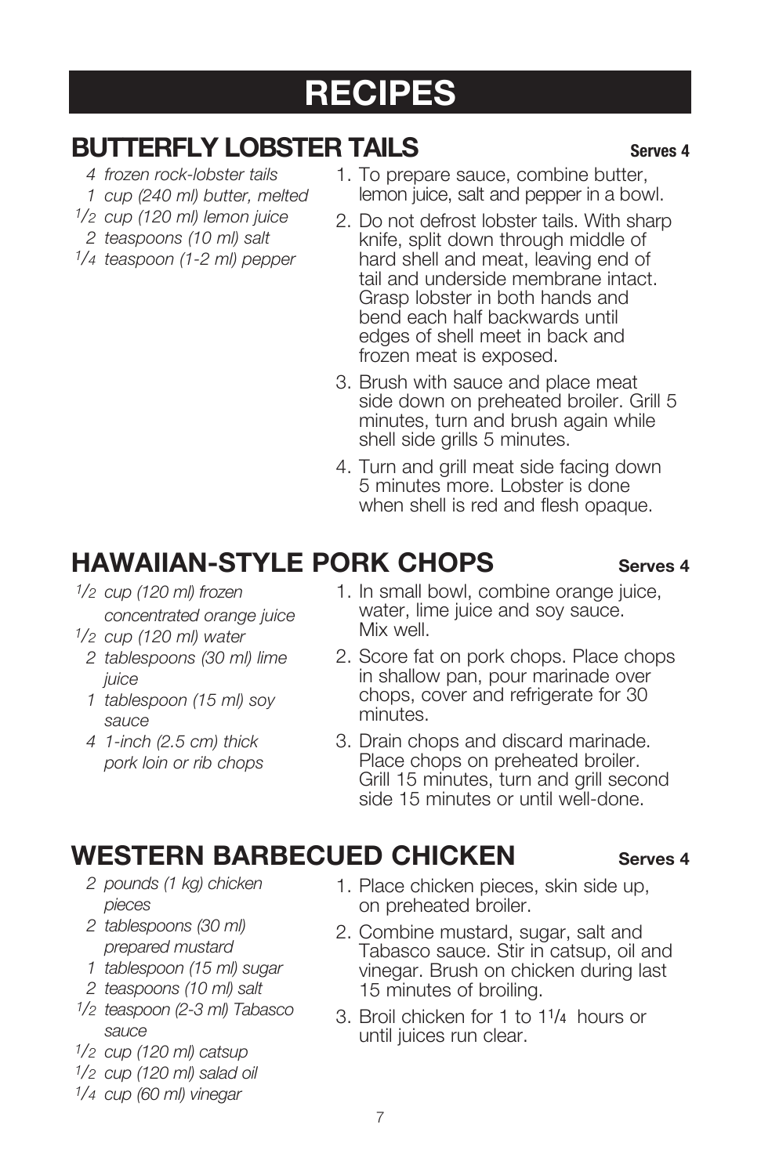## **RECIPES**

#### **BUTTERFLY LOBSTER TAILS** Serves 4

- *4 frozen rock-lobster tails*
- *1 cup (240 ml) butter, melted*
- *1/2 cup (120 ml) lemon juice*
- *2 teaspoons (10 ml) salt*
- *1/4 teaspoon (1-2 ml) pepper*
- 1. To prepare sauce, combine butter, lemon juice, salt and pepper in a bowl.
- 2. Do not defrost lobster tails. With sharp knife, split down through middle of hard shell and meat, leaving end of tail and underside membrane intact. Grasp lobster in both hands and bend each half backwards until edges of shell meet in back and frozen meat is exposed.
- 3. Brush with sauce and place meat side down on preheated broiler. Grill 5 minutes, turn and brush again while shell side grills 5 minutes.
- 4. Turn and grill meat side facing down 5 minutes more. Lobster is done when shell is red and flesh opaque.

### **HAWAIIAN-STYLE PORK CHOPS Serves 4**

- *1/2 cup (120 ml) frozen concentrated orange juice*
- *1/2 cup (120 ml) water*
	- *2 tablespoons (30 ml) lime juice*
	- *1 tablespoon (15 ml) soy sauce*
	- *4 1-inch (2.5 cm) thick pork loin or rib chops*
- 1. In small bowl, combine orange juice, water, lime juice and soy sauce. Mix well.
- 2. Score fat on pork chops. Place chops in shallow pan, pour marinade over chops, cover and refrigerate for 30 minutes.
- 3. Drain chops and discard marinade. Place chops on preheated broiler. Grill 15 minutes, turn and grill second side 15 minutes or until well-done.

#### **WESTERN BARBECUED CHICKEN** Serves 4

- *2 pounds (1 kg) chicken pieces*
- *2 tablespoons (30 ml) prepared mustard*
- *1 tablespoon (15 ml) sugar*
- *2 teaspoons (10 ml) salt*
- *1/2 teaspoon (2-3 ml) Tabasco sauce*
- *1/2 cup (120 ml) catsup*
- *1/2 cup (120 ml) salad oil*
- *1/4 cup (60 ml) vinegar*
- 1. Place chicken pieces, skin side up, on preheated broiler.
- 2. Combine mustard, sugar, salt and Tabasco sauce. Stir in catsup, oil and vinegar. Brush on chicken during last 15 minutes of broiling.
- 3. Broil chicken for 1 to 11/4 hours or until juices run clear.

- 
-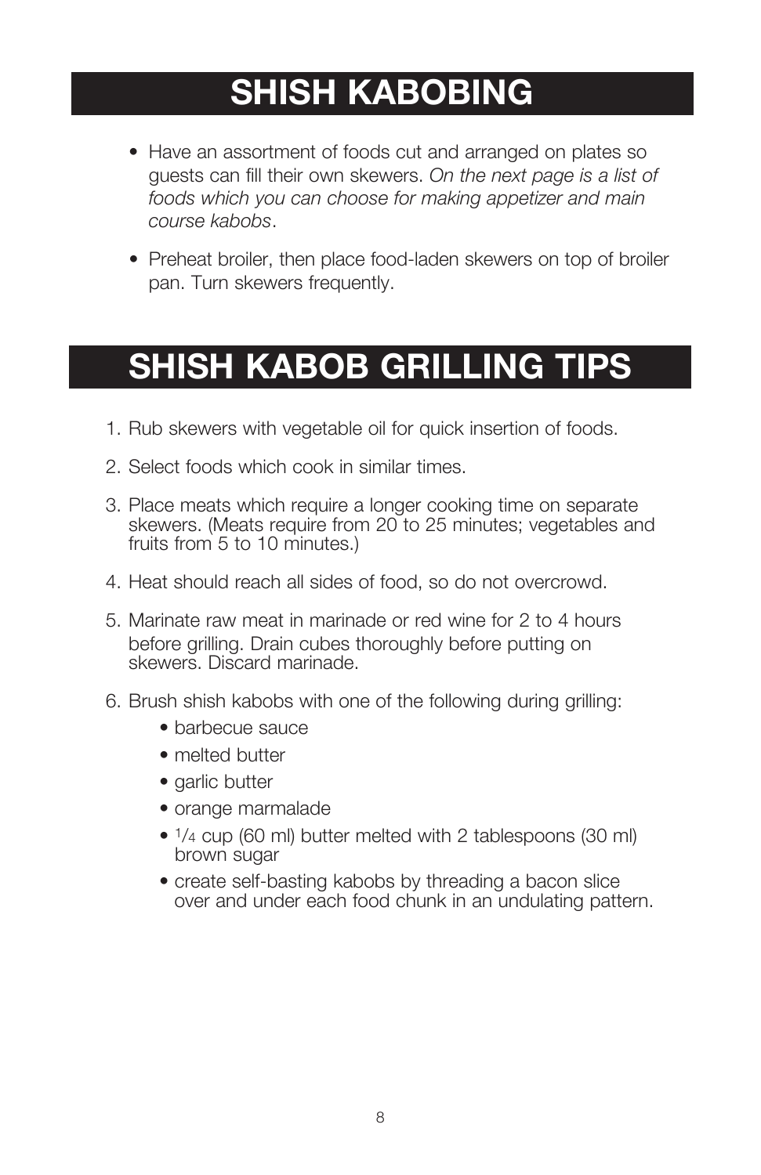## **SHISH KABOBING**

- Have an assortment of foods cut and arranged on plates so guests can fill their own skewers. *On the next page is a list of foods which you can choose for making appetizer and main course kabobs*.
- Preheat broiler, then place food-laden skewers on top of broiler pan. Turn skewers frequently.

## **SHISH KABOB GRILLING TIPS**

- 1. Rub skewers with vegetable oil for quick insertion of foods.
- 2. Select foods which cook in similar times.
- 3. Place meats which require a longer cooking time on separate skewers. (Meats require from 20 to 25 minutes; vegetables and fruits from 5 to 10 minutes.)
- 4. Heat should reach all sides of food, so do not overcrowd.
- 5. Marinate raw meat in marinade or red wine for 2 to 4 hours before grilling. Drain cubes thoroughly before putting on skewers. Discard marinade.
- 6. Brush shish kabobs with one of the following during grilling:
	- barbecue sauce
	- melted butter
	- garlic butter
	- orange marmalade
	- 1/4 cup (60 ml) butter melted with 2 tablespoons (30 ml) brown sugar
	- create self-basting kabobs by threading a bacon slice over and under each food chunk in an undulating pattern.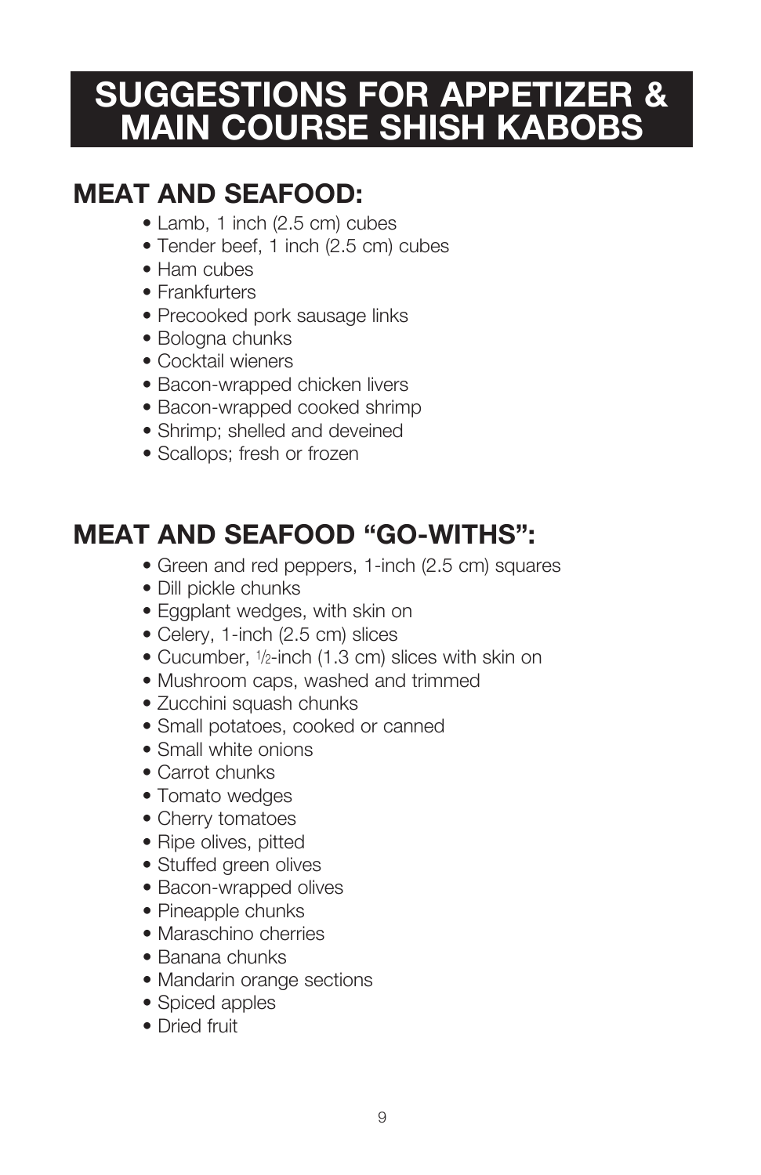## **SUGGESTIONS FOR APPETIZER & MAIN COURSE SHISH KABOBS**

## **MEAT AND SEAFOOD:**

- Lamb, 1 inch (2.5 cm) cubes
- Tender beef, 1 inch (2.5 cm) cubes
- Ham cubes
- Frankfurters
- Precooked pork sausage links
- Bologna chunks
- Cocktail wieners
- Bacon-wrapped chicken livers
- Bacon-wrapped cooked shrimp
- Shrimp; shelled and deveined
- Scallops; fresh or frozen

## **MEAT AND SEAFOOD "GO-WITHS":**

- Green and red peppers, 1-inch (2.5 cm) squares
- Dill pickle chunks
- Eggplant wedges, with skin on
- Celery, 1-inch (2.5 cm) slices
- Cucumber, 1/2-inch (1.3 cm) slices with skin on
- Mushroom caps, washed and trimmed
- Zucchini squash chunks
- Small potatoes, cooked or canned
- Small white onions
- Carrot chunks
- Tomato wedges
- Cherry tomatoes
- Ripe olives, pitted
- Stuffed green olives
- Bacon-wrapped olives
- Pineapple chunks
- Maraschino cherries
- Banana chunks
- Mandarin orange sections
- Spiced apples
- Dried fruit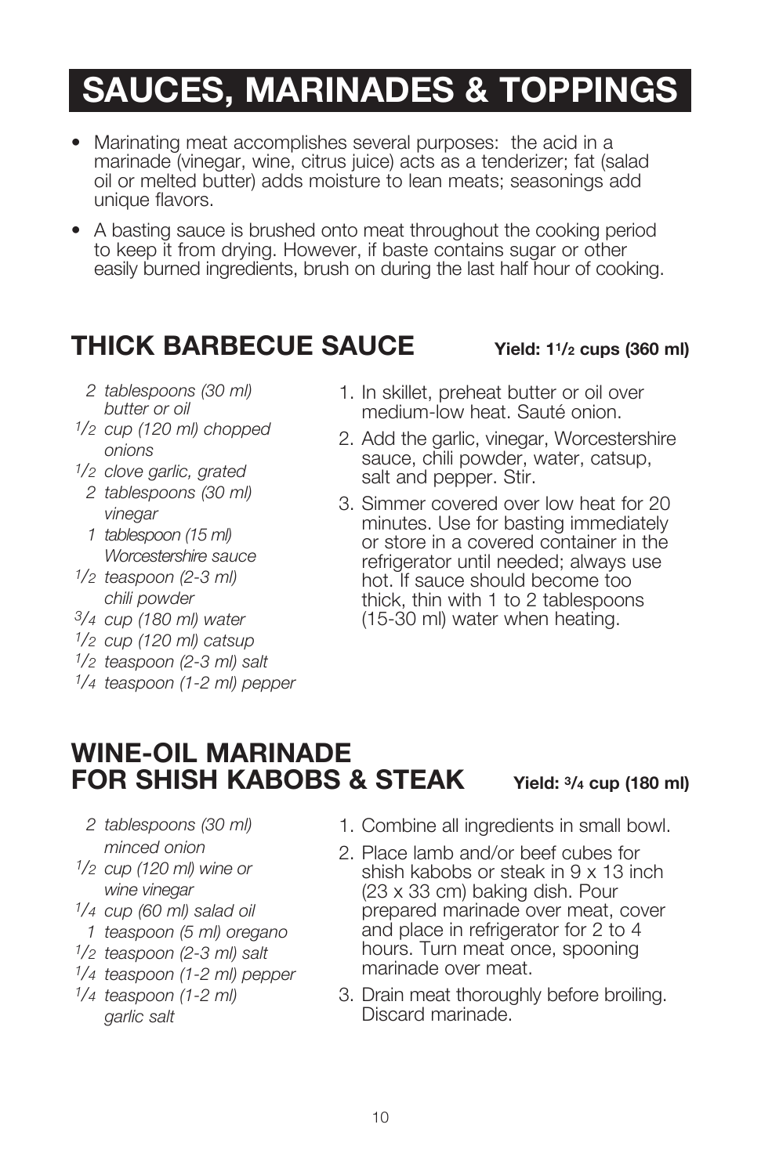## **SAUCES, MARINADES & TOPPINGS**

- Marinating meat accomplishes several purposes: the acid in a marinade (vinegar, wine, citrus juice) acts as a tenderizer; fat (salad oil or melted butter) adds moisture to lean meats; seasonings add unique flavors.
- A basting sauce is brushed onto meat throughout the cooking period to keep it from drying. However, if baste contains sugar or other easily burned ingredients, brush on during the last half hour of cooking.

#### **THICK BARBECUE SAUCE Yield: 11/2 cups (360 ml)**

- *2 tablespoons (30 ml) butter or oil*
- *1/2 cup (120 ml) chopped onions*
- *1/2 clove garlic, grated*
	- *2 tablespoons (30 ml) vinegar*
	- *1 tablespoon (15 ml) Worcestershire sauce*
- *1/2 teaspoon (2-3 ml) chili powder*
- *3/4 cup (180 ml) water*
- *1/2 cup (120 ml) catsup*
- *1/2 teaspoon (2-3 ml) salt*
- *1/4 teaspoon (1-2 ml) pepper*
- 1. In skillet, preheat butter or oil over medium-low heat. Sauté onion.
- 2. Add the garlic, vinegar, Worcestershire sauce, chili powder, water, catsup, salt and pepper. Stir.
- 3. Simmer covered over low heat for 20 minutes. Use for basting immediately or store in a covered container in the refrigerator until needed; always use hot. If sauce should become too thick, thin with 1 to 2 tablespoons (15-30 ml) water when heating.

#### **WINE-OIL MARINADE FOR SHISH KABOBS & STEAK Yield: 3/4 cup (180 ml)**

- *2 tablespoons (30 ml) minced onion*
- *1/2 cup (120 ml) wine or wine vinegar*
- *1/4 cup (60 ml) salad oil*
- *1 teaspoon (5 ml) oregano*
- *1/2 teaspoon (2-3 ml) salt*
- *1/4 teaspoon (1-2 ml) pepper*
- *1/4 teaspoon (1-2 ml) garlic salt*
- 1. Combine all ingredients in small bowl.
- 2. Place lamb and/or beef cubes for shish kabobs or steak in 9 x 13 inch (23 x 33 cm) baking dish. Pour prepared marinade over meat, cover and place in refrigerator for 2 to 4 hours. Turn meat once, spooning marinade over meat.
- 3. Drain meat thoroughly before broiling. Discard marinade.